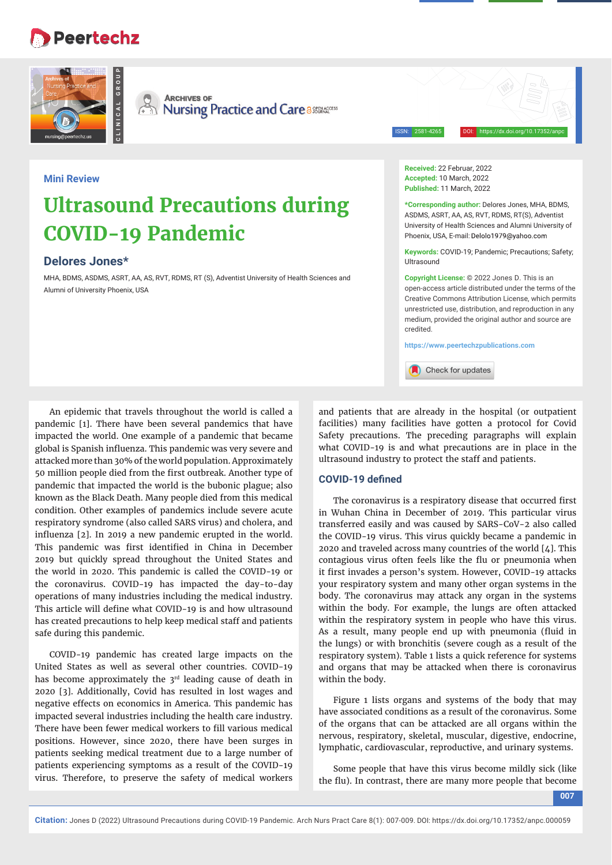## **Peertechz**





**CLINICAL GROUP**

**ARCHIVES OF SEX ARCHIVES OF**<br> **Nursing Practice and Care a** 

ISSN: 2581-4265 DOI: https://dx.doi.org/10.17352/anpc

### **Mini Review**

# **Ultrasound Precautions during COVID-19 Pandemic**

## **Delores Jones\***

MHA, BDMS, ASDMS, ASRT, AA, AS, RVT, RDMS, RT (S), Adventist University of Health Sciences and Alumni of University Phoenix, USA

**Received:** 22 Februar, 2022 **Accepted:** 10 March, 2022 **Published:** 11 March, 2022

**\*Corresponding author:** Delores Jones, MHA, BDMS, ASDMS, ASRT, AA, AS, RVT, RDMS, RT(S), Adventist University of Health Sciences and Alumni University of Phoenix, USA, E-mail: Delolo1979@yahoo.com

**Keywords:** COVID-19; Pandemic; Precautions; Safety; Ultrasound

**Copyright License:** © 2022 Jones D. This is an open-access article distributed under the terms of the Creative Commons Attribution License, which permits unrestricted use, distribution, and reproduction in any medium, provided the original author and source are credited.

**https://www.peertechzpublications.com**

Check for updates

An epidemic that travels throughout the world is called a pandemic [1]. There have been several pandemics that have impacted the world. One example of a pandemic that became global is Spanish influenza. This pandemic was very severe and attacked more than 30% of the world population. Approximately 50 million people died from the first outbreak. Another type of pandemic that impacted the world is the bubonic plague; also known as the Black Death. Many people died from this medical condition. Other examples of pandemics include severe acute respiratory syndrome (also called SARS virus) and cholera, and influenza [2]. In 2019 a new pandemic erupted in the world. This pandemic was first identified in China in December 2019 but quickly spread throughout the United States and the world in 2020. This pandemic is called the COVID-19 or the coronavirus. COVID-19 has impacted the day-to-day operations of many industries including the medical industry. This article will define what COVID-19 is and how ultrasound has created precautions to help keep medical staff and patients safe during this pandemic.

COVID-19 pandemic has created large impacts on the United States as well as several other countries. COVID-19 has become approximately the  $3<sup>rd</sup>$  leading cause of death in 2020 [3]. Additionally, Covid has resulted in lost wages and negative effects on economics in America. This pandemic has impacted several industries including the health care industry. There have been fewer medical workers to fill various medical positions. However, since 2020, there have been surges in patients seeking medical treatment due to a large number of patients experiencing symptoms as a result of the COVID-19 virus. Therefore, to preserve the safety of medical workers

and patients that are already in the hospital (or outpatient facilities) many facilities have gotten a protocol for Covid Safety precautions. The preceding paragraphs will explain what COVID-19 is and what precautions are in place in the ultrasound industry to protect the staff and patients.

### **COVID-19 defined**

The coronavirus is a respiratory disease that occurred first in Wuhan China in December of 2019. This particular virus transferred easily and was caused by SARS-CoV-2 also called the COVID-19 virus. This virus quickly became a pandemic in 2020 and traveled across many countries of the world [4]. This contagious virus often feels like the flu or pneumonia when it first invades a person's system. However, COVID-19 attacks your respiratory system and many other organ systems in the body. The coronavirus may attack any organ in the systems within the body. For example, the lungs are often attacked within the respiratory system in people who have this virus. As a result, many people end up with pneumonia (fluid in the lungs) or with bronchitis (severe cough as a result of the respiratory system). Table 1 lists a quick reference for systems and organs that may be attacked when there is coronavirus within the body.

Figure 1 lists organs and systems of the body that may have associated conditions as a result of the coronavirus. Some of the organs that can be attacked are all organs within the nervous, respiratory, skeletal, muscular, digestive, endocrine, lymphatic, cardiovascular, reproductive, and urinary systems.

Some people that have this virus become mildly sick (like the flu). In contrast, there are many more people that become

**007**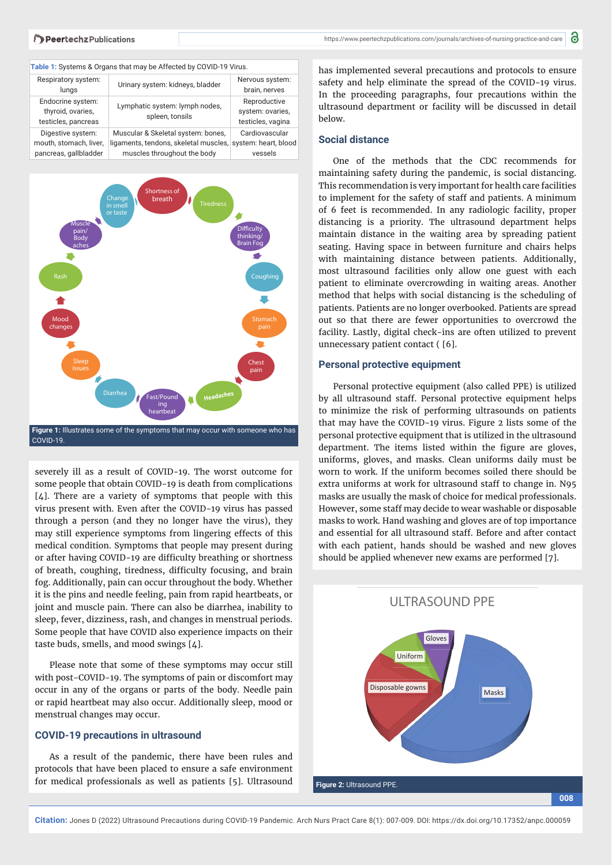| Table 1: Systems & Organs that may be Affected by COVID-19 Virus. |                                                   |                                                       |
|-------------------------------------------------------------------|---------------------------------------------------|-------------------------------------------------------|
| Respiratory system:<br>lungs                                      | Urinary system: kidneys, bladder                  | Nervous system:<br>brain, nerves                      |
| Endocrine system:<br>thyroid, ovaries,<br>testicles, pancreas     | Lymphatic system: lymph nodes,<br>spleen, tonsils | Reproductive<br>system: ovaries,<br>testicles, vagina |
| Digestive system:                                                 | Muscular & Skeletal system: bones,                | Cardiovascular                                        |
| mouth, stomach, liver,                                            | ligaments, tendons, skeletal muscles,             | system: heart, blood                                  |
| pancreas, gallbladder                                             | muscles throughout the body                       | vessels                                               |



severely ill as a result of COVID-19. The worst outcome for some people that obtain COVID-19 is death from complications  $[4]$ . There are a variety of symptoms that people with this virus present with. Even after the COVID-19 virus has passed through a person (and they no longer have the virus), they may still experience symptoms from lingering effects of this medical condition. Symptoms that people may present during or after having COVID-19 are difficulty breathing or shortness of breath, coughing, tiredness, difficulty focusing, and brain fog. Additionally, pain can occur throughout the body. Whether it is the pins and needle feeling, pain from rapid heartbeats, or joint and muscle pain. There can also be diarrhea, inability to sleep, fever, dizziness, rash, and changes in menstrual periods. Some people that have COVID also experience impacts on their taste buds, smells, and mood swings [4].

Please note that some of these symptoms may occur still with post-COVID-19. The symptoms of pain or discomfort may occur in any of the organs or parts of the body. Needle pain or rapid heartbeat may also occur. Additionally sleep, mood or menstrual changes may occur.

#### **COVID-19 precautions in ultrasound**

As a result of the pandemic, there have been rules and protocols that have been placed to ensure a safe environment for medical professionals as well as patients [5]. Ultrasound

has implemented several precautions and protocols to ensure safety and help eliminate the spread of the COVID-19 virus. In the proceeding paragraphs, four precautions within the ultrasound department or facility will be discussed in detail below.

#### **Social distance**

One of the methods that the CDC recommends for maintaining safety during the pandemic, is social distancing. This recommendation is very important for health care facilities to implement for the safety of staff and patients. A minimum of 6 feet is recommended. In any radiologic facility, proper distancing is a priority. The ultrasound department helps maintain distance in the waiting area by spreading patient seating. Having space in between furniture and chairs helps with maintaining distance between patients. Additionally, most ultrasound facilities only allow one guest with each patient to eliminate overcrowding in waiting areas. Another method that helps with social distancing is the scheduling of patients. Patients are no longer overbooked. Patients are spread out so that there are fewer opportunities to overcrowd the facility. Lastly, digital check-ins are often utilized to prevent unnecessary patient contact ( [6].

#### **Personal protective equipment**

Personal protective equipment (also called PPE) is utilized by all ultrasound staff. Personal protective equipment helps to minimize the risk of performing ultrasounds on patients that may have the COVID-19 virus. Figure 2 lists some of the personal protective equipment that is utilized in the ultrasound department. The items listed within the figure are gloves, uniforms, gloves, and masks. Clean uniforms daily must be worn to work. If the uniform becomes soiled there should be extra uniforms at work for ultrasound staff to change in. N95 masks are usually the mask of choice for medical professionals. However, some staff may decide to wear washable or disposable masks to work. Hand washing and gloves are of top importance and essential for all ultrasound staff. Before and after contact with each patient, hands should be washed and new gloves should be applied whenever new exams are performed [7].